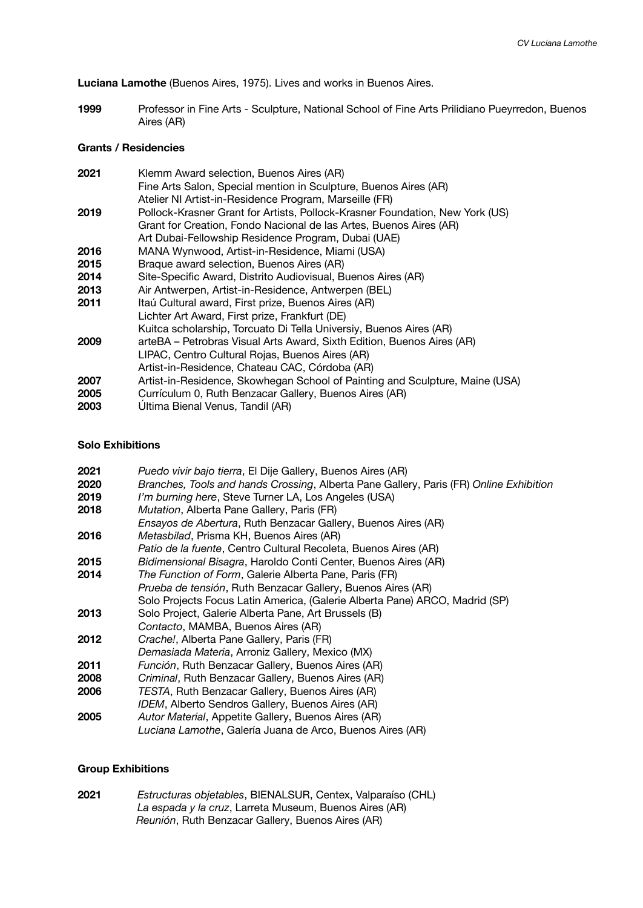**Luciana Lamothe** (Buenos Aires, 1975). Lives and works in Buenos Aires.

**1999** Professor in Fine Arts - Sculpture, National School of Fine Arts Prilidiano Pueyrredon, Buenos Aires (AR)

## **Grants / Residencies**

| 2021 | Klemm Award selection, Buenos Aires (AR)                                     |
|------|------------------------------------------------------------------------------|
|      | Fine Arts Salon, Special mention in Sculpture, Buenos Aires (AR)             |
|      | Atelier NI Artist-in-Residence Program, Marseille (FR)                       |
| 2019 | Pollock-Krasner Grant for Artists, Pollock-Krasner Foundation, New York (US) |
|      | Grant for Creation, Fondo Nacional de las Artes, Buenos Aires (AR)           |
|      | Art Dubai-Fellowship Residence Program, Dubai (UAE)                          |
| 2016 | MANA Wynwood, Artist-in-Residence, Miami (USA)                               |
| 2015 | Braque award selection, Buenos Aires (AR)                                    |
| 2014 | Site-Specific Award, Distrito Audiovisual, Buenos Aires (AR)                 |
| 2013 | Air Antwerpen, Artist-in-Residence, Antwerpen (BEL)                          |
| 2011 | Itaú Cultural award, First prize, Buenos Aires (AR)                          |
|      | Lichter Art Award, First prize, Frankfurt (DE)                               |
|      | Kuitca scholarship, Torcuato Di Tella Universiy, Buenos Aires (AR)           |
| 2009 | arteBA - Petrobras Visual Arts Award, Sixth Edition, Buenos Aires (AR)       |
|      | LIPAC, Centro Cultural Rojas, Buenos Aires (AR)                              |
|      | Artist-in-Residence, Chateau CAC, Córdoba (AR)                               |
| 2007 | Artist-in-Residence, Skowhegan School of Painting and Sculpture, Maine (USA) |
| 2005 | Currículum 0, Ruth Benzacar Gallery, Buenos Aires (AR)                       |
| 2003 | Ultima Bienal Venus, Tandil (AR)                                             |
|      |                                                                              |

## **Solo Exhibitions**

| 2021 | Puedo vivir bajo tierra, El Dije Gallery, Buenos Aires (AR)                            |
|------|----------------------------------------------------------------------------------------|
| 2020 | Branches, Tools and hands Crossing, Alberta Pane Gallery, Paris (FR) Online Exhibition |
| 2019 | I'm burning here, Steve Turner LA, Los Angeles (USA)                                   |
| 2018 | Mutation, Alberta Pane Gallery, Paris (FR)                                             |
|      | Ensayos de Abertura, Ruth Benzacar Gallery, Buenos Aires (AR)                          |
| 2016 | Metasbilad, Prisma KH, Buenos Aires (AR)                                               |
|      | Patio de la fuente, Centro Cultural Recoleta, Buenos Aires (AR)                        |
| 2015 | Bidimensional Bisagra, Haroldo Conti Center, Buenos Aires (AR)                         |
| 2014 | The Function of Form, Galerie Alberta Pane, Paris (FR)                                 |
|      | Prueba de tensión, Ruth Benzacar Gallery, Buenos Aires (AR)                            |
|      | Solo Projects Focus Latin America, (Galerie Alberta Pane) ARCO, Madrid (SP)            |
| 2013 | Solo Project, Galerie Alberta Pane, Art Brussels (B)                                   |
|      | Contacto, MAMBA, Buenos Aires (AR)                                                     |
| 2012 | Crache!, Alberta Pane Gallery, Paris (FR)                                              |
|      | Demasiada Materia, Arroniz Gallery, Mexico (MX)                                        |
| 2011 | Función, Ruth Benzacar Gallery, Buenos Aires (AR)                                      |
| 2008 | Criminal, Ruth Benzacar Gallery, Buenos Aires (AR)                                     |
| 2006 | TESTA, Ruth Benzacar Gallery, Buenos Aires (AR)                                        |
|      | IDEM, Alberto Sendros Gallery, Buenos Aires (AR)                                       |
| 2005 | Autor Material, Appetite Gallery, Buenos Aires (AR)                                    |
|      | Luciana Lamothe, Galería Juana de Arco, Buenos Aires (AR)                              |
|      |                                                                                        |

## **Group Exhibitions**

| 2021 | Estructuras objetables, BIENALSUR, Centex, Valparaíso (CHL) |
|------|-------------------------------------------------------------|
|      | La espada y la cruz, Larreta Museum, Buenos Aires (AR)      |
|      | <i>Reunión</i> , Ruth Benzacar Gallery, Buenos Aires (AR)   |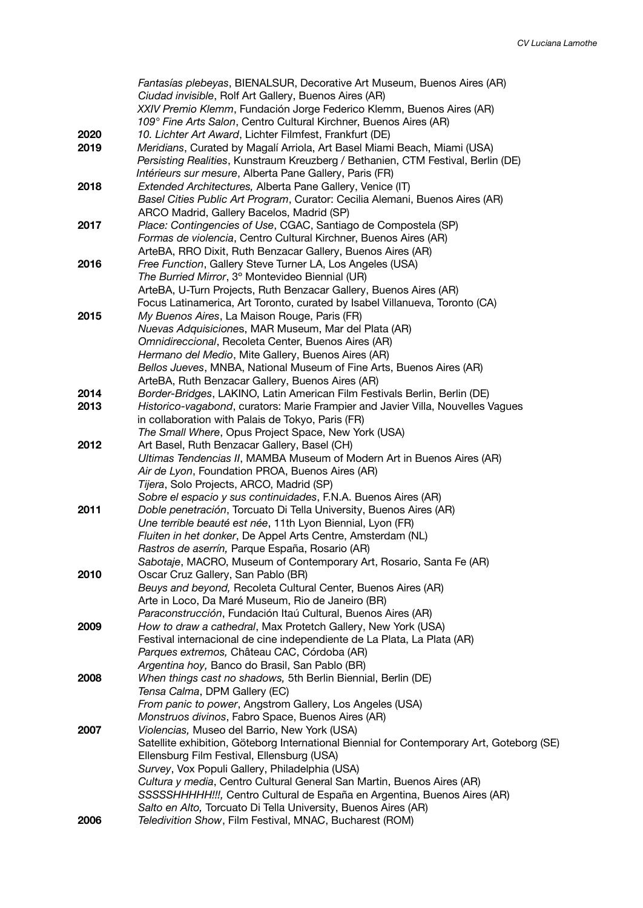|              | Fantasías plebeyas, BIENALSUR, Decorative Art Museum, Buenos Aires (AR)<br>Ciudad invisible, Rolf Art Gallery, Buenos Aires (AR)<br>XXIV Premio Klemm, Fundación Jorge Federico Klemm, Buenos Aires (AR)<br>109° Fine Arts Salon, Centro Cultural Kirchner, Buenos Aires (AR)                                                                                                                                                                                     |
|--------------|-------------------------------------------------------------------------------------------------------------------------------------------------------------------------------------------------------------------------------------------------------------------------------------------------------------------------------------------------------------------------------------------------------------------------------------------------------------------|
| 2020<br>2019 | 10. Lichter Art Award, Lichter Filmfest, Frankfurt (DE)<br>Meridians, Curated by Magalí Arriola, Art Basel Miami Beach, Miami (USA)<br>Persisting Realities, Kunstraum Kreuzberg / Bethanien, CTM Festival, Berlin (DE)<br>Intérieurs sur mesure, Alberta Pane Gallery, Paris (FR)                                                                                                                                                                                |
| 2018         | Extended Architectures, Alberta Pane Gallery, Venice (IT)<br>Basel Cities Public Art Program, Curator: Cecilia Alemani, Buenos Aires (AR)<br>ARCO Madrid, Gallery Bacelos, Madrid (SP)                                                                                                                                                                                                                                                                            |
| 2017         | Place: Contingencies of Use, CGAC, Santiago de Compostela (SP)<br>Formas de violencia, Centro Cultural Kirchner, Buenos Aires (AR)<br>ArteBA, RRO Dixit, Ruth Benzacar Gallery, Buenos Aires (AR)                                                                                                                                                                                                                                                                 |
| 2016         | Free Function, Gallery Steve Turner LA, Los Angeles (USA)<br>The Burried Mirror, 3° Montevideo Biennial (UR)<br>ArteBA, U-Turn Projects, Ruth Benzacar Gallery, Buenos Aires (AR)<br>Focus Latinamerica, Art Toronto, curated by Isabel Villanueva, Toronto (CA)                                                                                                                                                                                                  |
| 2015         | My Buenos Aires, La Maison Rouge, Paris (FR)<br>Nuevas Adquisiciones, MAR Museum, Mar del Plata (AR)<br>Omnidireccional, Recoleta Center, Buenos Aires (AR)<br>Hermano del Medio, Mite Gallery, Buenos Aires (AR)<br>Bellos Jueves, MNBA, National Museum of Fine Arts, Buenos Aires (AR)<br>ArteBA, Ruth Benzacar Gallery, Buenos Aires (AR)                                                                                                                     |
| 2014<br>2013 | Border-Bridges, LAKINO, Latin American Film Festivals Berlin, Berlin (DE)<br>Historico-vagabond, curators: Marie Frampier and Javier Villa, Nouvelles Vagues<br>in collaboration with Palais de Tokyo, Paris (FR)<br>The Small Where, Opus Project Space, New York (USA)                                                                                                                                                                                          |
| 2012         | Art Basel, Ruth Benzacar Gallery, Basel (CH)<br>Ultimas Tendencias II, MAMBA Museum of Modern Art in Buenos Aires (AR)<br>Air de Lyon, Foundation PROA, Buenos Aires (AR)<br>Tijera, Solo Projects, ARCO, Madrid (SP)<br>Sobre el espacio y sus continuidades, F.N.A. Buenos Aires (AR)                                                                                                                                                                           |
| 2011         | Doble penetración, Torcuato Di Tella University, Buenos Aires (AR)<br>Une terrible beauté est née, 11th Lyon Biennial, Lyon (FR)<br>Fluiten in het donker, De Appel Arts Centre, Amsterdam (NL)<br>Rastros de aserrín, Parque España, Rosario (AR)<br>Sabotaje, MACRO, Museum of Contemporary Art, Rosario, Santa Fe (AR)                                                                                                                                         |
| 2010         | Oscar Cruz Gallery, San Pablo (BR)<br>Beuys and beyond, Recoleta Cultural Center, Buenos Aires (AR)<br>Arte in Loco, Da Maré Museum, Rio de Janeiro (BR)<br>Paraconstrucción, Fundación Itaú Cultural, Buenos Aires (AR)                                                                                                                                                                                                                                          |
| 2009         | How to draw a cathedral, Max Protetch Gallery, New York (USA)<br>Festival internacional de cine independiente de La Plata, La Plata (AR)<br>Parques extremos, Château CAC, Córdoba (AR)<br>Argentina hoy, Banco do Brasil, San Pablo (BR)                                                                                                                                                                                                                         |
| 2008         | When things cast no shadows, 5th Berlin Biennial, Berlin (DE)<br>Tensa Calma, DPM Gallery (EC)<br>From panic to power, Angstrom Gallery, Los Angeles (USA)<br>Monstruos divinos, Fabro Space, Buenos Aires (AR)                                                                                                                                                                                                                                                   |
| 2007         | Violencias, Museo del Barrio, New York (USA)<br>Satellite exhibition, Göteborg International Biennial for Contemporary Art, Goteborg (SE)<br>Ellensburg Film Festival, Ellensburg (USA)<br>Survey, Vox Populi Gallery, Philadelphia (USA)<br>Cultura y media, Centro Cultural General San Martin, Buenos Aires (AR)<br>SSSSSHHHHH!!!, Centro Cultural de España en Argentina, Buenos Aires (AR)<br>Salto en Alto, Torcuato Di Tella University, Buenos Aires (AR) |
| 2006         | Teledivition Show, Film Festival, MNAC, Bucharest (ROM)                                                                                                                                                                                                                                                                                                                                                                                                           |